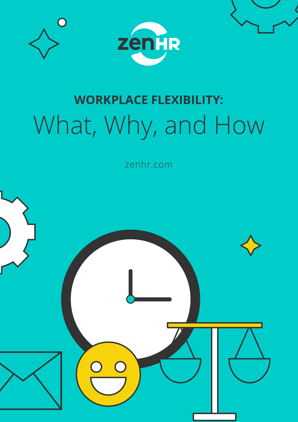





zenhr.com

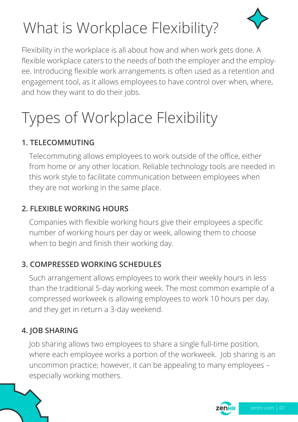

# What is Workplace Flexibility?

Flexibility in the workplace is all about how and when work gets done. A flexible workplace caters to the needs of both the employer and the employee. Introducing flexible work arrangements is often used as a retention and engagement tool, as it allows employees to have control over when, where, and how they want to do their jobs.

# Types of Workplace Flexibility

#### **1. TELECOMMUTING**

Telecommuting allows employees to work outside of the office, either from home or any other location. Reliable technology tools are needed in this work style to facilitate communication between employees when they are not working in the same place.

#### **2. FLEXIBLE WORKING HOURS**

Companies with flexible working hours give their employees a specific number of working hours per day or week, allowing them to choose when to begin and finish their working day.

#### **3. COMPRESSED WORKING SCHEDULES**

Such arrangement allows employees to work their weekly hours in less than the traditional 5-day working week. The most common example of a compressed workweek is allowing employees to work 10 hours per day, and they get in return a 3-day weekend.

#### **4. JOB SHARING**

Job sharing allows two employees to share a single full-time position, where each employee works a portion of the workweek. Job sharing is an uncommon practice; however, it can be appealing to many employees – especially working mothers.

zenHR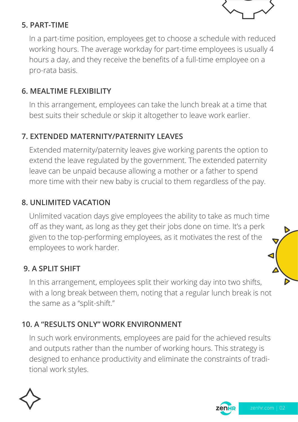

#### **5. PART-TIME**

In a part-time position, employees get to choose a schedule with reduced working hours. The average workday for part-time employees is usually 4 hours a day, and they receive the benefits of a full-time employee on a pro-rata basis.

#### **6. MEALTIME FLEXIBILITY**

In this arrangement, employees can take the lunch break at a time that best suits their schedule or skip it altogether to leave work earlier.

#### **7. EXTENDED MATERNITY/PATERNITY LEAVES**

Extended maternity/paternity leaves give working parents the option to extend the leave regulated by the government. The extended paternity leave can be unpaid because allowing a mother or a father to spend more time with their new baby is crucial to them regardless of the pay.

#### **8. UNLIMITED VACATION**

Unlimited vacation days give employees the ability to take as much time off as they want, as long as they get their jobs done on time. It's a perk given to the top-performing employees, as it motivates the rest of the employees to work harder.

#### **9. A SPLIT SHIFT**

In this arrangement, employees split their working day into two shifts, with a long break between them, noting that a regular lunch break is not the same as a "split-shift."

#### **10. A "RESULTS ONLY" WORK ENVIRONMENT**

In such work environments, employees are paid for the achieved results and outputs rather than the number of working hours. This strategy is designed to enhance productivity and eliminate the constraints of traditional work styles.



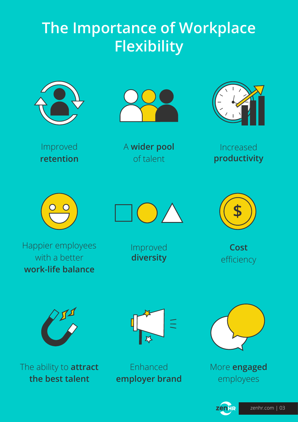## **The Importance of Workplace Flexibility**



Improved

**retention**



A **wider pool** of talent



Increased **productivity**





Happier employees with a better **work-life balance**

Improved **diversity**



**Cost** efficiency



The ability to **attract the best talent**



Enhanced **employer brand**



More **engaged** employees

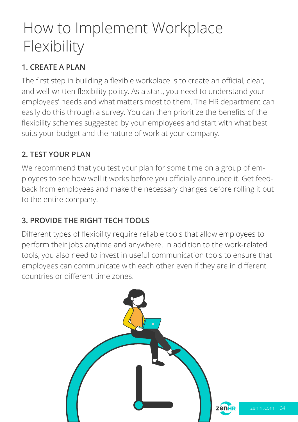## How to Implement Workplace Flexibility

### **1. CREATE A PLAN**

The first step in building a flexible workplace is to create an official, clear, and well-written flexibility policy. As a start, you need to understand your employees' needs and what matters most to them. The HR department can easily do this through a survey. You can then prioritize the benefits of the flexibility schemes suggested by your employees and start with what best suits your budget and the nature of work at your company.

### **2. TEST YOUR PLAN**

We recommend that you test your plan for some time on a group of employees to see how well it works before you officially announce it. Get feedback from employees and make the necessary changes before rolling it out to the entire company.

## **3. PROVIDE THE RIGHT TECH TOOLS**

Different types of flexibility require reliable tools that allow employees to perform their jobs anytime and anywhere. In addition to the work-related tools, you also need to invest in useful communication tools to ensure that employees can communicate with each other even if they are in different countries or different time zones.

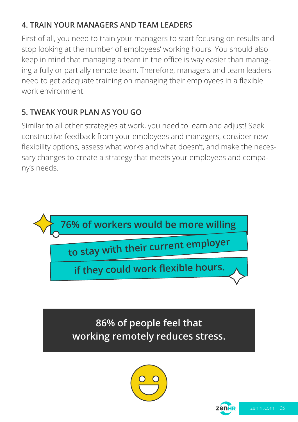## **4. TRAIN YOUR MANAGERS AND TEAM LEADERS**

First of all, you need to train your managers to start focusing on results and stop looking at the number of employees' working hours. You should also keep in mind that managing a team in the office is way easier than managing a fully or partially remote team. Therefore, managers and team leaders need to get adequate training on managing their employees in a flexible work environment.

### **5. TWEAK YOUR PLAN AS YOU GO**

Similar to all other strategies at work, you need to learn and adjust! Seek constructive feedback from your employees and managers, consider new flexibility options, assess what works and what doesn't, and make the necessary changes to create a strategy that meets your employees and company's needs.



**86% of people feel that working remotely reduces stress.**